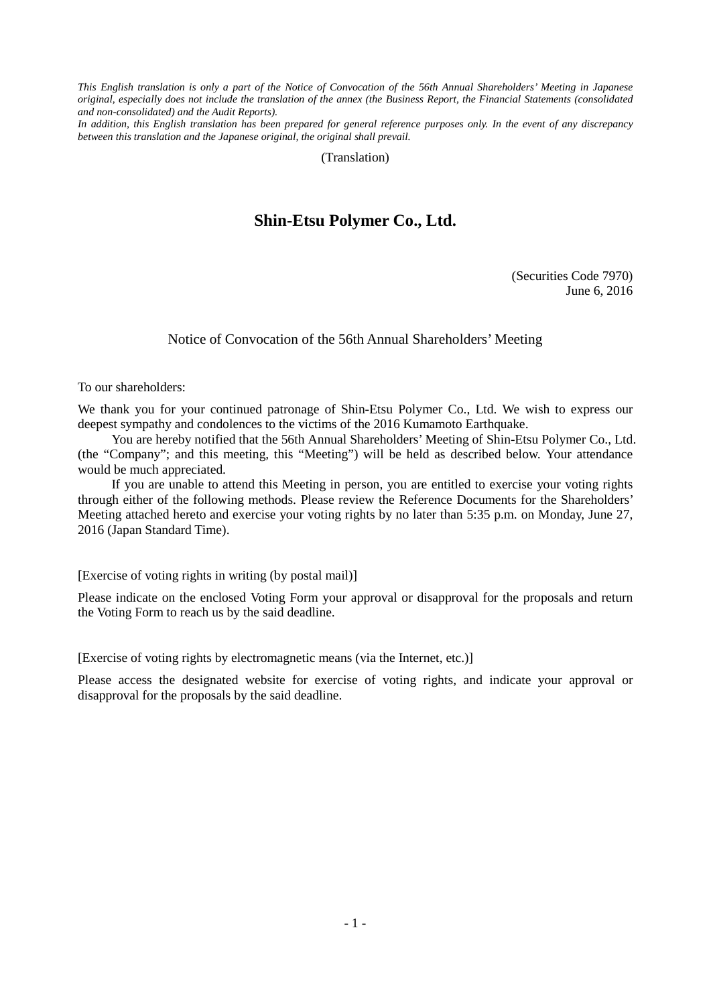*This English translation is only a part of the Notice of Convocation of the 56th Annual Shareholders' Meeting in Japanese original, especially does not include the translation of the annex (the Business Report, the Financial Statements (consolidated and non-consolidated) and the Audit Reports).*

*In addition, this English translation has been prepared for general reference purposes only. In the event of any discrepancy between this translation and the Japanese original, the original shall prevail.*

(Translation)

## **Shin-Etsu Polymer Co., Ltd.**

(Securities Code 7970) June 6, 2016

Notice of Convocation of the 56th Annual Shareholders' Meeting

To our shareholders:

We thank you for your continued patronage of Shin-Etsu Polymer Co., Ltd. We wish to express our deepest sympathy and condolences to the victims of the 2016 Kumamoto Earthquake.

You are hereby notified that the 56th Annual Shareholders' Meeting of Shin-Etsu Polymer Co., Ltd. (the "Company"; and this meeting, this "Meeting") will be held as described below. Your attendance would be much appreciated.

If you are unable to attend this Meeting in person, you are entitled to exercise your voting rights through either of the following methods. Please review the Reference Documents for the Shareholders' Meeting attached hereto and exercise your voting rights by no later than 5:35 p.m. on Monday, June 27, 2016 (Japan Standard Time).

[Exercise of voting rights in writing (by postal mail)]

Please indicate on the enclosed Voting Form your approval or disapproval for the proposals and return the Voting Form to reach us by the said deadline.

[Exercise of voting rights by electromagnetic means (via the Internet, etc.)]

Please access the designated website for exercise of voting rights, and indicate your approval or disapproval for the proposals by the said deadline.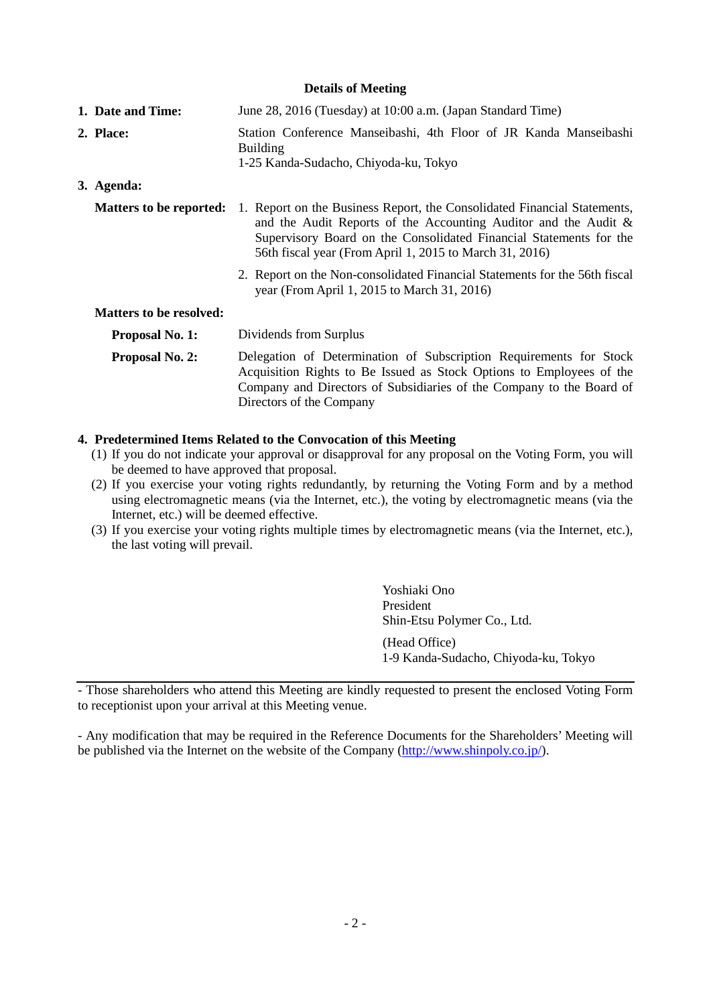## **Details of Meeting**

| 1. Date and Time:                                | June 28, 2016 (Tuesday) at 10:00 a.m. (Japan Standard Time)                                                                                                                                                                                                                  |  |  |  |  |  |
|--------------------------------------------------|------------------------------------------------------------------------------------------------------------------------------------------------------------------------------------------------------------------------------------------------------------------------------|--|--|--|--|--|
| 2. Place:                                        | Station Conference Manseibashi, 4th Floor of JR Kanda Manseibashi<br><b>Building</b><br>1-25 Kanda-Sudacho, Chiyoda-ku, Tokyo                                                                                                                                                |  |  |  |  |  |
| 3. Agenda:                                       |                                                                                                                                                                                                                                                                              |  |  |  |  |  |
| <b>Matters to be reported:</b>                   | 1. Report on the Business Report, the Consolidated Financial Statements,<br>and the Audit Reports of the Accounting Auditor and the Audit &<br>Supervisory Board on the Consolidated Financial Statements for the<br>56th fiscal year (From April 1, 2015 to March 31, 2016) |  |  |  |  |  |
|                                                  | 2. Report on the Non-consolidated Financial Statements for the 56th fiscal<br>year (From April 1, 2015 to March 31, 2016)                                                                                                                                                    |  |  |  |  |  |
| <b>Matters to be resolved:</b>                   |                                                                                                                                                                                                                                                                              |  |  |  |  |  |
| Dividends from Surplus<br><b>Proposal No. 1:</b> |                                                                                                                                                                                                                                                                              |  |  |  |  |  |
| Proposal No. 2:                                  | Delegation of Determination of Subscription Requirements for Stock<br>Acquisition Rights to Be Issued as Stock Options to Employees of the<br>Company and Directors of Subsidiaries of the Company to the Board of<br>Directors of the Company                               |  |  |  |  |  |

## **4. Predetermined Items Related to the Convocation of this Meeting**

- (1) If you do not indicate your approval or disapproval for any proposal on the Voting Form, you will be deemed to have approved that proposal.
- (2) If you exercise your voting rights redundantly, by returning the Voting Form and by a method using electromagnetic means (via the Internet, etc.), the voting by electromagnetic means (via the Internet, etc.) will be deemed effective.
- (3) If you exercise your voting rights multiple times by electromagnetic means (via the Internet, etc.), the last voting will prevail.

Yoshiaki Ono President Shin-Etsu Polymer Co., Ltd. (Head Office) 1-9 Kanda-Sudacho, Chiyoda-ku, Tokyo

- Those shareholders who attend this Meeting are kindly requested to present the enclosed Voting Form to receptionist upon your arrival at this Meeting venue.

- Any modification that may be required in the Reference Documents for the Shareholders' Meeting will be published via the Internet on the website of the Company [\(http://www.shinpoly.co.jp/\)](http://www.shinpoly.co.jp/).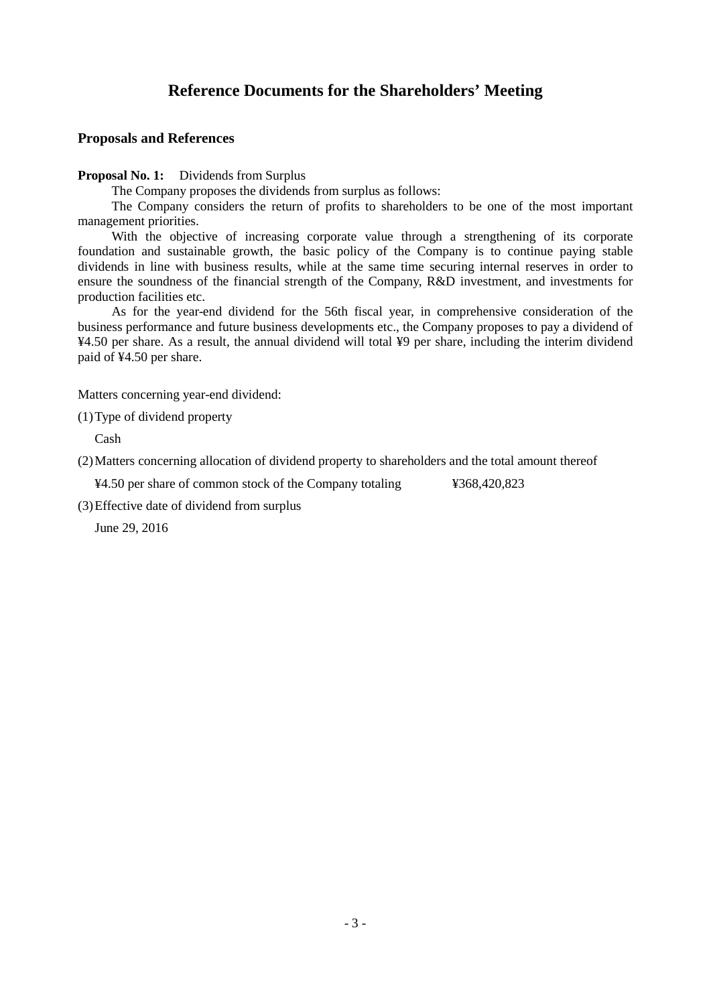## **Proposals and References**

**Proposal No. 1:** Dividends from Surplus

The Company proposes the dividends from surplus as follows:

The Company considers the return of profits to shareholders to be one of the most important management priorities.

With the objective of increasing corporate value through a strengthening of its corporate foundation and sustainable growth, the basic policy of the Company is to continue paying stable dividends in line with business results, while at the same time securing internal reserves in order to ensure the soundness of the financial strength of the Company, R&D investment, and investments for production facilities etc.

As for the year-end dividend for the 56th fiscal year, in comprehensive consideration of the business performance and future business developments etc., the Company proposes to pay a dividend of ¥4.50 per share. As a result, the annual dividend will total ¥9 per share, including the interim dividend paid of ¥4.50 per share.

Matters concerning year-end dividend:

(1)Type of dividend property

Cash

(2)Matters concerning allocation of dividend property to shareholders and the total amount thereof

¥4.50 per share of common stock of the Company totaling ¥368,420,823

(3)Effective date of dividend from surplus

June 29, 2016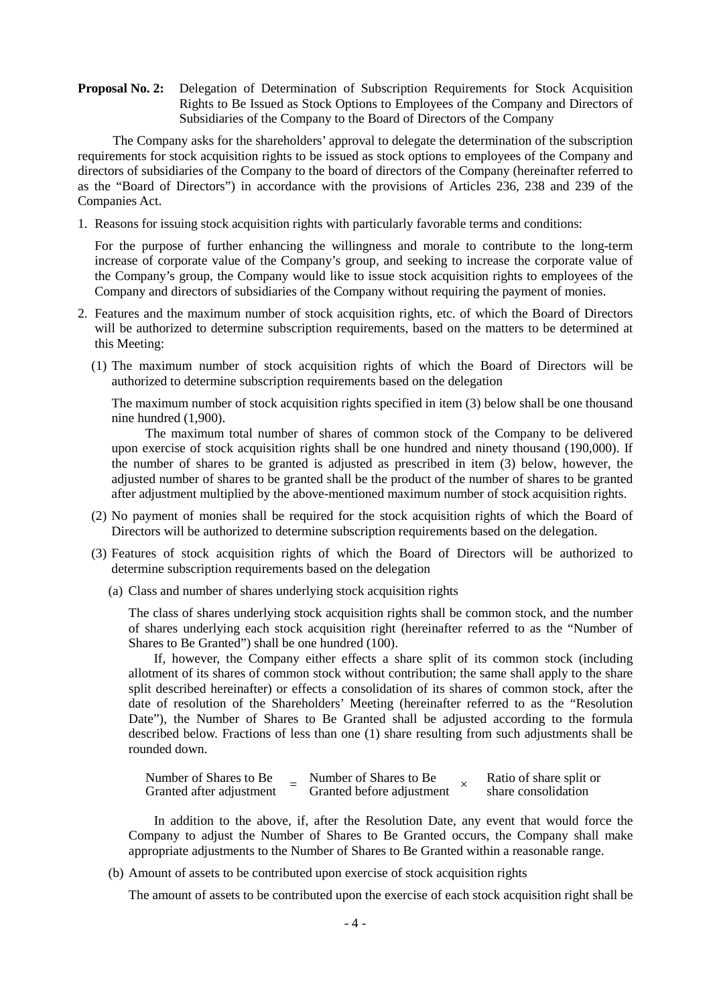**Proposal No. 2:** Delegation of Determination of Subscription Requirements for Stock Acquisition Rights to Be Issued as Stock Options to Employees of the Company and Directors of Subsidiaries of the Company to the Board of Directors of the Company

The Company asks for the shareholders' approval to delegate the determination of the subscription requirements for stock acquisition rights to be issued as stock options to employees of the Company and directors of subsidiaries of the Company to the board of directors of the Company (hereinafter referred to as the "Board of Directors") in accordance with the provisions of Articles 236, 238 and 239 of the Companies Act.

1. Reasons for issuing stock acquisition rights with particularly favorable terms and conditions:

For the purpose of further enhancing the willingness and morale to contribute to the long-term increase of corporate value of the Company's group, and seeking to increase the corporate value of the Company's group, the Company would like to issue stock acquisition rights to employees of the Company and directors of subsidiaries of the Company without requiring the payment of monies.

- 2. Features and the maximum number of stock acquisition rights, etc. of which the Board of Directors will be authorized to determine subscription requirements, based on the matters to be determined at this Meeting:
	- (1) The maximum number of stock acquisition rights of which the Board of Directors will be authorized to determine subscription requirements based on the delegation

The maximum number of stock acquisition rights specified in item (3) below shall be one thousand nine hundred (1,900).

The maximum total number of shares of common stock of the Company to be delivered upon exercise of stock acquisition rights shall be one hundred and ninety thousand (190,000). If the number of shares to be granted is adjusted as prescribed in item (3) below, however, the adjusted number of shares to be granted shall be the product of the number of shares to be granted after adjustment multiplied by the above-mentioned maximum number of stock acquisition rights.

- (2) No payment of monies shall be required for the stock acquisition rights of which the Board of Directors will be authorized to determine subscription requirements based on the delegation.
- (3) Features of stock acquisition rights of which the Board of Directors will be authorized to determine subscription requirements based on the delegation
	- (a) Class and number of shares underlying stock acquisition rights

The class of shares underlying stock acquisition rights shall be common stock, and the number of shares underlying each stock acquisition right (hereinafter referred to as the "Number of Shares to Be Granted") shall be one hundred (100).

If, however, the Company either effects a share split of its common stock (including allotment of its shares of common stock without contribution; the same shall apply to the share split described hereinafter) or effects a consolidation of its shares of common stock, after the date of resolution of the Shareholders' Meeting (hereinafter referred to as the "Resolution Date"), the Number of Shares to Be Granted shall be adjusted according to the formula described below. Fractions of less than one (1) share resulting from such adjustments shall be rounded down.

| Number of Shares to Be   | Number of Shares to Be    | Ratio of share split or |
|--------------------------|---------------------------|-------------------------|
| Granted after adjustment | Granted before adjustment | share consolidation     |

In addition to the above, if, after the Resolution Date, any event that would force the Company to adjust the Number of Shares to Be Granted occurs, the Company shall make appropriate adjustments to the Number of Shares to Be Granted within a reasonable range.

(b) Amount of assets to be contributed upon exercise of stock acquisition rights

The amount of assets to be contributed upon the exercise of each stock acquisition right shall be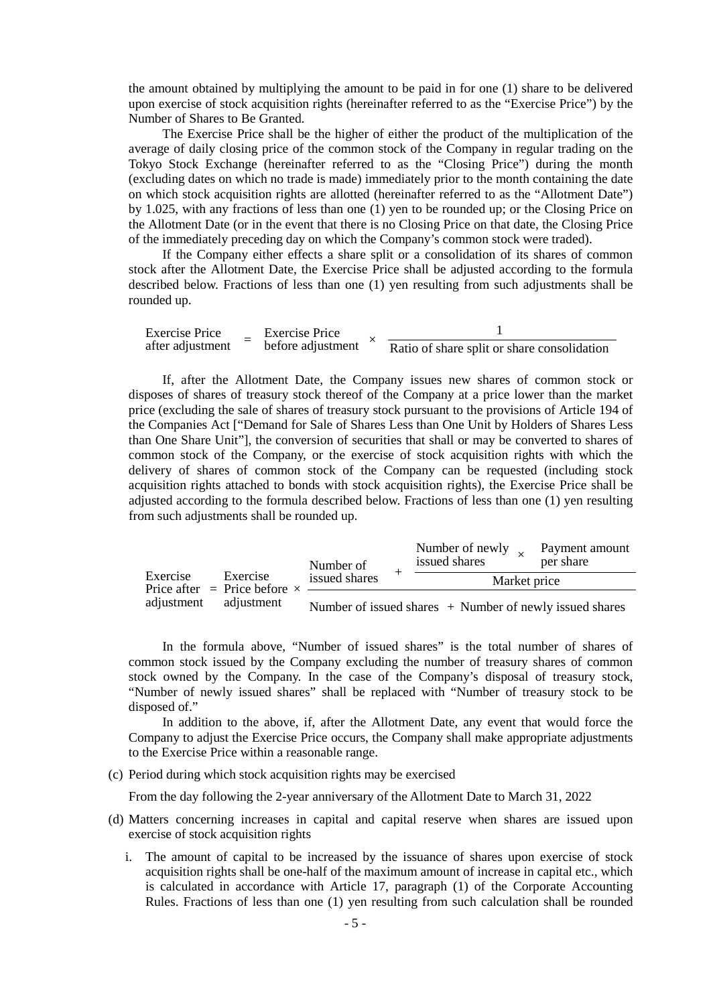the amount obtained by multiplying the amount to be paid in for one (1) share to be delivered upon exercise of stock acquisition rights (hereinafter referred to as the "Exercise Price") by the Number of Shares to Be Granted.

The Exercise Price shall be the higher of either the product of the multiplication of the average of daily closing price of the common stock of the Company in regular trading on the Tokyo Stock Exchange (hereinafter referred to as the "Closing Price") during the month (excluding dates on which no trade is made) immediately prior to the month containing the date on which stock acquisition rights are allotted (hereinafter referred to as the "Allotment Date") by 1.025, with any fractions of less than one (1) yen to be rounded up; or the Closing Price on the Allotment Date (or in the event that there is no Closing Price on that date, the Closing Price of the immediately preceding day on which the Company's common stock were traded).

If the Company either effects a share split or a consolidation of its shares of common stock after the Allotment Date, the Exercise Price shall be adjusted according to the formula described below. Fractions of less than one (1) yen resulting from such adjustments shall be rounded up.

| <b>Exercise Price</b> |  | Exercise Price    |                                             |
|-----------------------|--|-------------------|---------------------------------------------|
| after adjustment      |  | before adjustment | Ratio of share split or share consolidation |

If, after the Allotment Date, the Company issues new shares of common stock or disposes of shares of treasury stock thereof of the Company at a price lower than the market price (excluding the sale of shares of treasury stock pursuant to the provisions of Article 194 of the Companies Act ["Demand for Sale of Shares Less than One Unit by Holders of Shares Less than One Share Unit"], the conversion of securities that shall or may be converted to shares of common stock of the Company, or the exercise of stock acquisition rights with which the delivery of shares of common stock of the Company can be requested (including stock acquisition rights attached to bonds with stock acquisition rights), the Exercise Price shall be adjusted according to the formula described below. Fractions of less than one (1) yen resulting from such adjustments shall be rounded up.

|            | Exercise<br>Price after $=$ Price before $\times$<br>adjustment | Number of                                                 | Number of newly<br>issued shares | Payment amount<br>per share |  |  |
|------------|-----------------------------------------------------------------|-----------------------------------------------------------|----------------------------------|-----------------------------|--|--|
| Exercise   |                                                                 | issued shares                                             | Market price                     |                             |  |  |
| adjustment |                                                                 | Number of issued shares $+$ Number of newly issued shares |                                  |                             |  |  |

In the formula above, "Number of issued shares" is the total number of shares of common stock issued by the Company excluding the number of treasury shares of common stock owned by the Company. In the case of the Company's disposal of treasury stock, "Number of newly issued shares" shall be replaced with "Number of treasury stock to be disposed of."

In addition to the above, if, after the Allotment Date, any event that would force the Company to adjust the Exercise Price occurs, the Company shall make appropriate adjustments to the Exercise Price within a reasonable range.

(c) Period during which stock acquisition rights may be exercised

From the day following the 2-year anniversary of the Allotment Date to March 31, 2022

- (d) Matters concerning increases in capital and capital reserve when shares are issued upon exercise of stock acquisition rights
	- i. The amount of capital to be increased by the issuance of shares upon exercise of stock acquisition rights shall be one-half of the maximum amount of increase in capital etc., which is calculated in accordance with Article 17, paragraph (1) of the Corporate Accounting Rules. Fractions of less than one (1) yen resulting from such calculation shall be rounded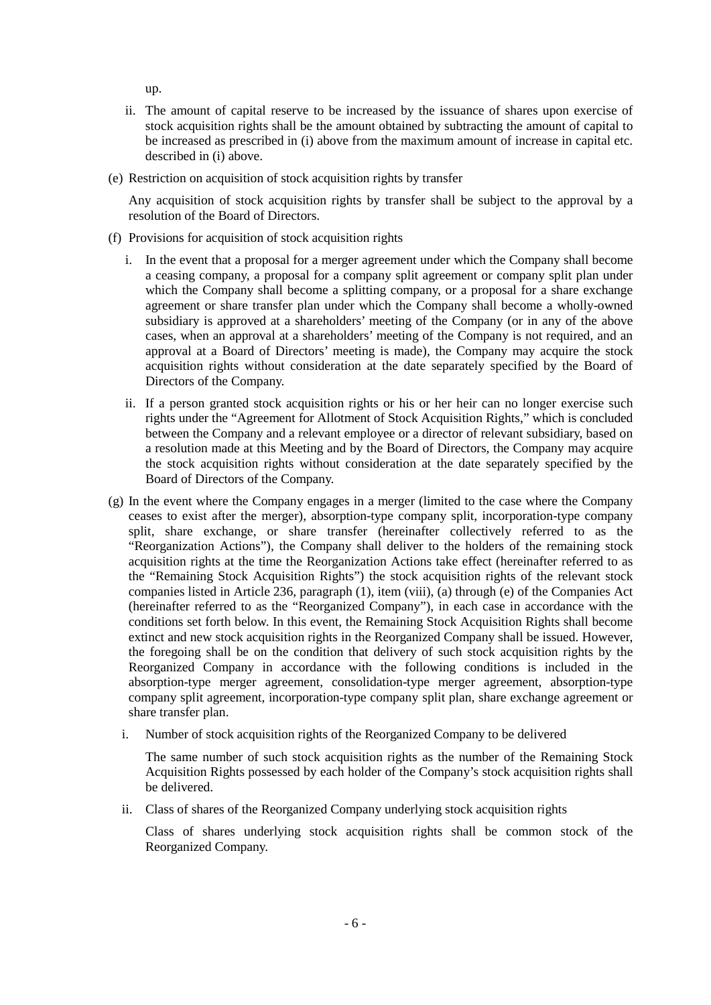up.

- ii. The amount of capital reserve to be increased by the issuance of shares upon exercise of stock acquisition rights shall be the amount obtained by subtracting the amount of capital to be increased as prescribed in (i) above from the maximum amount of increase in capital etc. described in (i) above.
- (e) Restriction on acquisition of stock acquisition rights by transfer

Any acquisition of stock acquisition rights by transfer shall be subject to the approval by a resolution of the Board of Directors.

- (f) Provisions for acquisition of stock acquisition rights
	- i. In the event that a proposal for a merger agreement under which the Company shall become a ceasing company, a proposal for a company split agreement or company split plan under which the Company shall become a splitting company, or a proposal for a share exchange agreement or share transfer plan under which the Company shall become a wholly-owned subsidiary is approved at a shareholders' meeting of the Company (or in any of the above cases, when an approval at a shareholders' meeting of the Company is not required, and an approval at a Board of Directors' meeting is made), the Company may acquire the stock acquisition rights without consideration at the date separately specified by the Board of Directors of the Company.
	- ii. If a person granted stock acquisition rights or his or her heir can no longer exercise such rights under the "Agreement for Allotment of Stock Acquisition Rights," which is concluded between the Company and a relevant employee or a director of relevant subsidiary, based on a resolution made at this Meeting and by the Board of Directors, the Company may acquire the stock acquisition rights without consideration at the date separately specified by the Board of Directors of the Company.
- (g) In the event where the Company engages in a merger (limited to the case where the Company ceases to exist after the merger), absorption-type company split, incorporation-type company split, share exchange, or share transfer (hereinafter collectively referred to as the "Reorganization Actions"), the Company shall deliver to the holders of the remaining stock acquisition rights at the time the Reorganization Actions take effect (hereinafter referred to as the "Remaining Stock Acquisition Rights") the stock acquisition rights of the relevant stock companies listed in Article 236, paragraph (1), item (viii), (a) through (e) of the Companies Act (hereinafter referred to as the "Reorganized Company"), in each case in accordance with the conditions set forth below. In this event, the Remaining Stock Acquisition Rights shall become extinct and new stock acquisition rights in the Reorganized Company shall be issued. However, the foregoing shall be on the condition that delivery of such stock acquisition rights by the Reorganized Company in accordance with the following conditions is included in the absorption-type merger agreement, consolidation-type merger agreement, absorption-type company split agreement, incorporation-type company split plan, share exchange agreement or share transfer plan.
	- i. Number of stock acquisition rights of the Reorganized Company to be delivered

The same number of such stock acquisition rights as the number of the Remaining Stock Acquisition Rights possessed by each holder of the Company's stock acquisition rights shall be delivered.

ii. Class of shares of the Reorganized Company underlying stock acquisition rights

Class of shares underlying stock acquisition rights shall be common stock of the Reorganized Company.